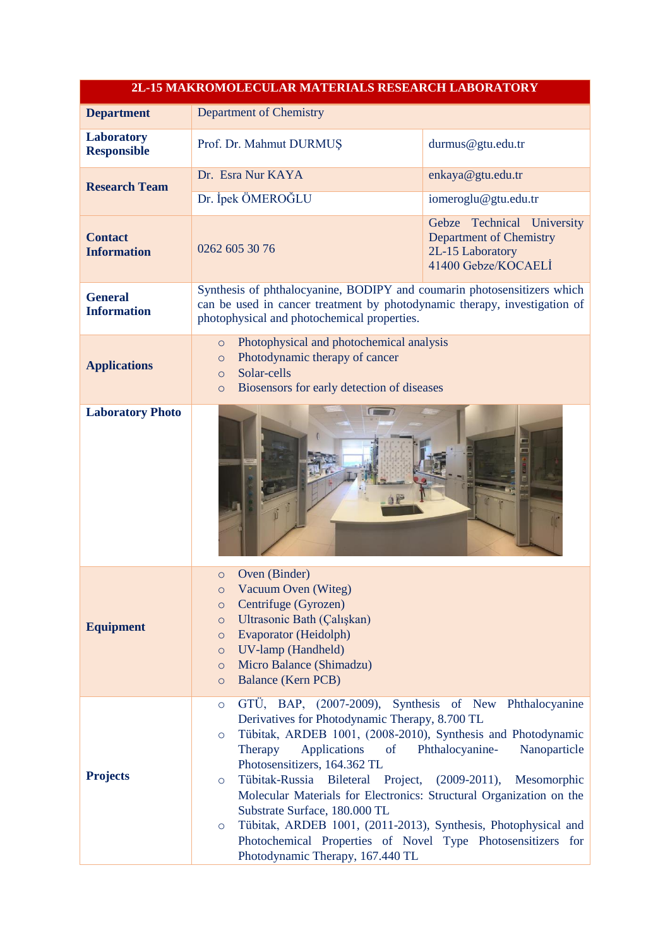| 2L-15 MAKROMOLECULAR MATERIALS RESEARCH LABORATORY |                                                                                                                                                                                                                                                                                                                                                                                                                                                                                                                                                                                                                                                                              |                                                                                                         |
|----------------------------------------------------|------------------------------------------------------------------------------------------------------------------------------------------------------------------------------------------------------------------------------------------------------------------------------------------------------------------------------------------------------------------------------------------------------------------------------------------------------------------------------------------------------------------------------------------------------------------------------------------------------------------------------------------------------------------------------|---------------------------------------------------------------------------------------------------------|
| <b>Department</b>                                  | Department of Chemistry                                                                                                                                                                                                                                                                                                                                                                                                                                                                                                                                                                                                                                                      |                                                                                                         |
| <b>Laboratory</b><br><b>Responsible</b>            | Prof. Dr. Mahmut DURMUŞ                                                                                                                                                                                                                                                                                                                                                                                                                                                                                                                                                                                                                                                      | durmus@gtu.edu.tr                                                                                       |
| <b>Research Team</b>                               | Dr. Esra Nur KAYA                                                                                                                                                                                                                                                                                                                                                                                                                                                                                                                                                                                                                                                            | enkaya@gtu.edu.tr                                                                                       |
|                                                    | Dr. İpek ÖMEROĞLU                                                                                                                                                                                                                                                                                                                                                                                                                                                                                                                                                                                                                                                            | iomeroglu@gtu.edu.tr                                                                                    |
| <b>Contact</b><br><b>Information</b>               | 0262 605 30 76                                                                                                                                                                                                                                                                                                                                                                                                                                                                                                                                                                                                                                                               | Gebze Technical University<br><b>Department of Chemistry</b><br>2L-15 Laboratory<br>41400 Gebze/KOCAELI |
| <b>General</b><br><b>Information</b>               | Synthesis of phthalocyanine, BODIPY and coumarin photosensitizers which<br>can be used in cancer treatment by photodynamic therapy, investigation of<br>photophysical and photochemical properties.                                                                                                                                                                                                                                                                                                                                                                                                                                                                          |                                                                                                         |
| <b>Applications</b>                                | Photophysical and photochemical analysis<br>$\circ$<br>Photodynamic therapy of cancer<br>$\circ$<br>Solar-cells<br>$\circ$<br>Biosensors for early detection of diseases<br>$\circ$                                                                                                                                                                                                                                                                                                                                                                                                                                                                                          |                                                                                                         |
| <b>Laboratory Photo</b>                            |                                                                                                                                                                                                                                                                                                                                                                                                                                                                                                                                                                                                                                                                              |                                                                                                         |
| <b>Equipment</b>                                   | Oven (Binder)<br>$\circ$<br>Vacuum Oven (Witeg)<br>$\circ$<br>Centrifuge (Gyrozen)<br>$\circ$<br>Ultrasonic Bath (Çalışkan)<br>$\circ$<br>Evaporator (Heidolph)<br>$\circ$<br>UV-lamp (Handheld)<br>$\circ$<br>Micro Balance (Shimadzu)<br>$\circ$<br><b>Balance (Kern PCB)</b><br>$\circ$                                                                                                                                                                                                                                                                                                                                                                                   |                                                                                                         |
| <b>Projects</b>                                    | GTÜ, BAP, (2007-2009), Synthesis of New Phthalocyanine<br>$\circ$<br>Derivatives for Photodynamic Therapy, 8.700 TL<br>Tübitak, ARDEB 1001, (2008-2010), Synthesis and Photodynamic<br>$\circ$<br>Applications<br>Nanoparticle<br>Therapy<br>$\sigma$<br>Phthalocyanine-<br>Photosensitizers, 164.362 TL<br>Tübitak-Russia Bileteral Project, (2009-2011),<br>Mesomorphic<br>$\circ$<br>Molecular Materials for Electronics: Structural Organization on the<br>Substrate Surface, 180.000 TL<br>Tübitak, ARDEB 1001, (2011-2013), Synthesis, Photophysical and<br>$\circ$<br>Photochemical Properties of Novel Type Photosensitizers for<br>Photodynamic Therapy, 167.440 TL |                                                                                                         |